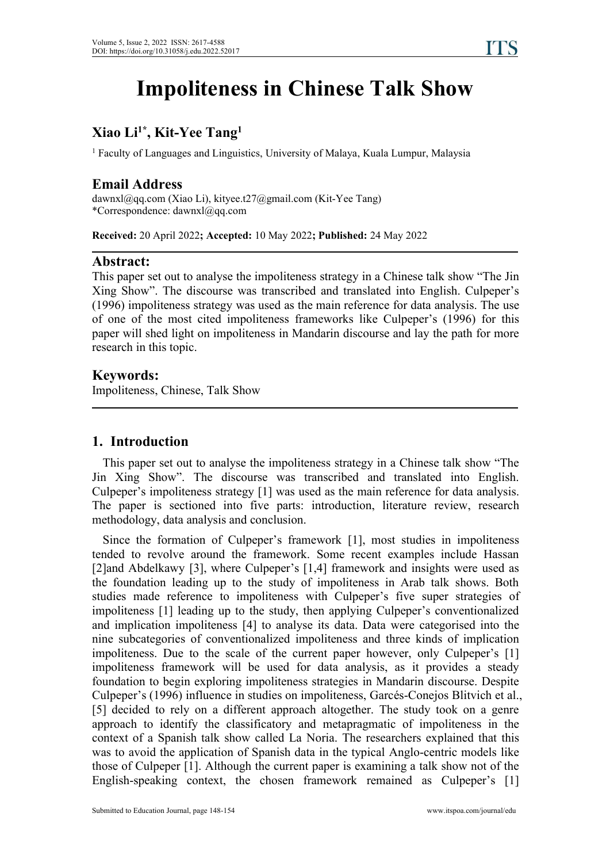# **Impoliteness in Chinese Talk Show**

#### **Xiao Li1\* , Kit-Yee Tang 1**

<sup>1</sup> Faculty of Languages and Linguistics, University of Malaya, Kuala Lumpur, Malaysia

# **Email Address**

dawnxl@qq.com (Xiao Li), kityee.t27@gmail.com (Kit-Yee Tang) \*Correspondence: dawnxl@qq.com

**Received:** 20 April 2022**; Accepted:** 10 May 2022**; Published:** 24 May 2022

# **Abstract:**

This paper set out to analyse the impoliteness strategy in a Chinese talk show "The Jin Xing Show". The discourse was transcribed and translated into English. Culpeper's (1996) impoliteness strategy was used as the main reference for data analysis. The use of one of the most cited impoliteness frameworks like Culpeper's (1996) for this paper will shed light on impoliteness in Mandarin discourse and lay the path for more research in this topic.

# **Keywords:**

Impoliteness, Chinese, Talk Show

# **1. Introduction**

This paper set out to analyse the impoliteness strategy in a Chinese talk show "The Jin Xing Show". The discourse was transcribed and translated into English. Culpeper's impoliteness strategy [1] was used as the main reference for data analysis. The paper is sectioned into five parts: introduction, literature review, research methodology, data analysis and conclusion.

Since the formation of Culpeper's framework [1], most studies in impoliteness tended to revolve around the framework. Some recent examples include Hassan [2]and Abdelkawy [3], where Culpeper's [1,4] framework and insights were used as the foundation leading up to the study of impoliteness in Arab talk shows. Both studies made reference to impoliteness with Culpeper's five super strategies of impoliteness [1] leading up to the study, then applying Culpeper's conventionalized and implication impoliteness [4] to analyse its data.Data were categorised into the nine subcategories of conventionalized impoliteness and three kinds of implication impoliteness. Due to the scale of the current paper however, only Culpeper's [1] impoliteness framework will be used for data analysis, as it provides a steady foundation to begin exploring impoliteness strategies in Mandarin discourse. Despite Culpeper's (1996) influence in studies on impoliteness, Garcés-Conejos Blitvich et al., [5] decided to rely on a different approach altogether. The study took on a genre approach to identify the classificatory and metapragmatic of impoliteness in the context of a Spanish talk show called La Noria. The researchers explained that this was to avoid the application of Spanish data in the typical Anglo-centric models like those of Culpeper [1]. Although the current paper is examining a talk show not of the English-speaking context, the chosen framework remained as Culpeper's [1]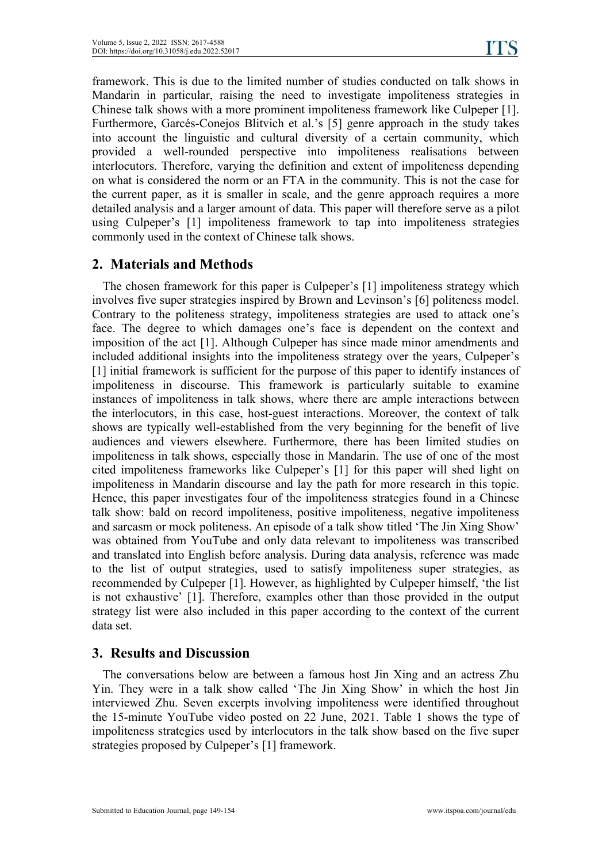framework. This is due to the limited number of studies conducted on talk shows in Mandarin in particular, raising the need to investigate impoliteness strategies in Chinese talk shows with a more prominent impoliteness framework like Culpeper [1]. Furthermore, Garcés-Conejos Blitvich et al.'s [5] genre approach in the study takes into account the linguistic and cultural diversity of a certain community, which provided a well-rounded perspective into impoliteness realisations between interlocutors. Therefore, varying the definition and extent of impoliteness depending on what is considered the norm or an FTA in the community. This is not the case for the current paper, as it is smaller in scale, and the genre approach requires a more detailed analysis and a larger amount of data. This paper will therefore serve as a pilot using Culpeper's [1] impoliteness framework to tap into impoliteness strategies commonly used in the context of Chinese talk shows.

# **2. Materials and Methods**

The chosen framework for this paper is Culpeper's [1] impoliteness strategy which involves five super strategies inspired by Brown and Levinson's [6] politeness model. Contrary to the politeness strategy, impoliteness strategies are used to attack one's face. The degree to which damages one's face is dependent on the context and imposition of the act [1]. Although Culpeper has since made minor amendments and included additional insights into the impoliteness strategy over the years, Culpeper's [1] initial framework is sufficient for the purpose of this paper to identify instances of impoliteness in discourse. This framework is particularly suitable to examine instances of impoliteness in talk shows, where there are ample interactions between the interlocutors, in this case, host-guest interactions. Moreover, the context of talk shows are typically well-established from the very beginning for the benefit of live audiences and viewers elsewhere. Furthermore, there has been limited studies on impoliteness in talk shows, especially those in Mandarin. The use of one of the most cited impoliteness frameworks like Culpeper's [1] for this paper will shed light on impoliteness in Mandarin discourse and lay the path for more research in this topic.Hence, this paper investigates four of the impoliteness strategies found in <sup>a</sup> Chinese talk show: bald on record impoliteness, positive impoliteness, negative impoliteness and sarcasm or mock politeness. An episode of a talk show titled 'The Jin Xing Show' was obtained from YouTube and only data relevant to impoliteness was transcribed and translated into English before analysis. During data analysis, reference was made to the list of output strategies, used to satisfy impoliteness super strategies, as recommended by Culpeper [1]. However, as highlighted by Culpeper himself, 'the list is not exhaustive' [1]. Therefore, examples other than those provided in the output strategy list were also included in this paper according to the context of the current data set.

# **3. Results and Discussion**

The conversations below are between a famous host Jin Xing and an actress Zhu Yin. They were in a talk show called 'The Jin Xing Show' in which the host Jin interviewed Zhu. Seven excerpts involving impoliteness were identified throughout the 15-minute YouTube video posted on 22 June, 2021. Table 1 shows the type of impoliteness strategies used by interlocutors in the talk show based on the five super strategies proposed by Culpeper's [1] framework.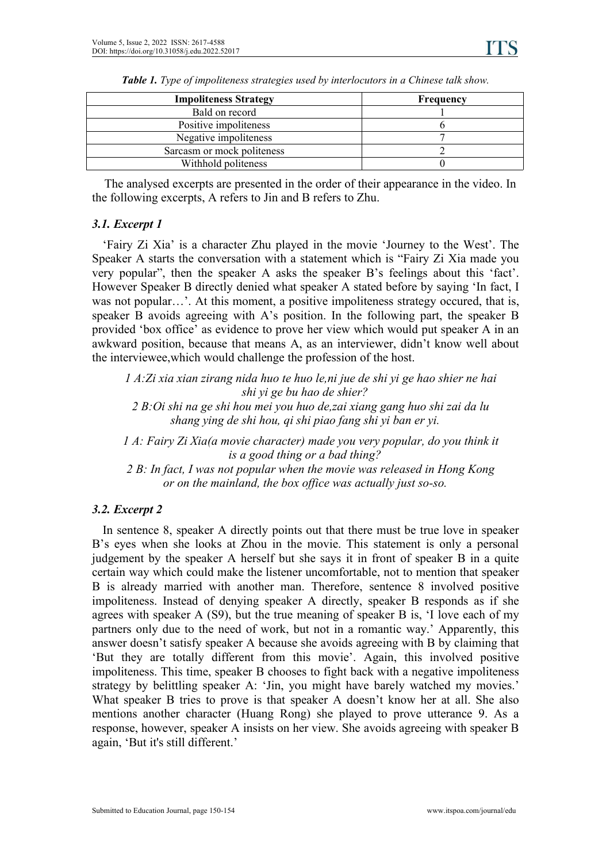| <b>Impoliteness Strategy</b> | Frequency |
|------------------------------|-----------|
| Bald on record               |           |
| Positive impoliteness        |           |
| Negative impoliteness        |           |
| Sarcasm or mock politeness   |           |
| Withhold politeness          |           |

*Table 1. Type of impoliteness strategies used by interlocutors in a Chinese talk show.*

The analysed excerpts are presented in the order of their appearance in the video. In the following excerpts, A refers to Jin and B refers to Zhu.

#### *3.1. Excerpt 1*

'Fairy Zi Xia' is a character Zhu played in the movie 'Journey to the West'. The Speaker A starts the conversation with a statement which is "Fairy Zi Xia made you very popular", then the speaker A asks the speaker B's feelings about this 'fact'. However Speaker B directly denied what speaker A stated before by saying 'In fact, I was not popular…'. At this moment, a positive impoliteness strategy occured, that is, speaker B avoids agreeing with A's position. In the following part, the speaker B provided 'box office' as evidence to prove her view which would put speaker A in an awkward position, because that means A, as an interviewer, didn't know well about the interviewee,which would challenge the profession of the host.

*1 A:Zi xia xian zirang nida huo te huo le,ni jue de shi yi ge hao shier ne hai shi yi ge bu hao de shier?*

*2 B:Oi shi na ge shi hou mei you huo de,zai xiang gang huo shi zai da lu shang ying de shi hou, qi shi piao fang shi yi ban er yi.*

*1 A: Fairy Zi Xia(a movie character) made you very popular,do you think it is a good thing or a bad thing?*

*2 B: In fact, I was not popular when the movie was released in Hong Kong or on the mainland, the box of ice was actually just so-so.*

### *3.2. Excerpt 2*

In sentence 8, speaker A directly points out that there must be true love in speaker B's eyes when she looks at Zhou in the movie. This statement is only a personal judgement by the speaker A herself but she says it in front of speaker B in a quite certain way which could make the listener uncomfortable, not to mention that speaker B is already married with another man. Therefore, sentence 8 involved positive impoliteness. Instead of denying speaker A directly, speaker B responds as if she agrees with speaker A  $(S9)$ , but the true meaning of speaker B is, 'I love each of my partners only due to the need of work, but not in a romantic way.' Apparently, this answer doesn't satisfy speaker A because she avoids agreeing with B by claiming that 'But they are totally different from this movie'. Again, this involved positive impoliteness. This time, speaker B chooses to fight back with a negative impoliteness strategy by belittling speaker A: 'Jin, you might have barely watched my movies.' What speaker B tries to prove is that speaker A doesn't know her at all. She also mentions another character (Huang Rong) she played to prove utterance 9. As a response, however, speaker A insists on her view. She avoids agreeing with speaker B again, 'But it's still different.'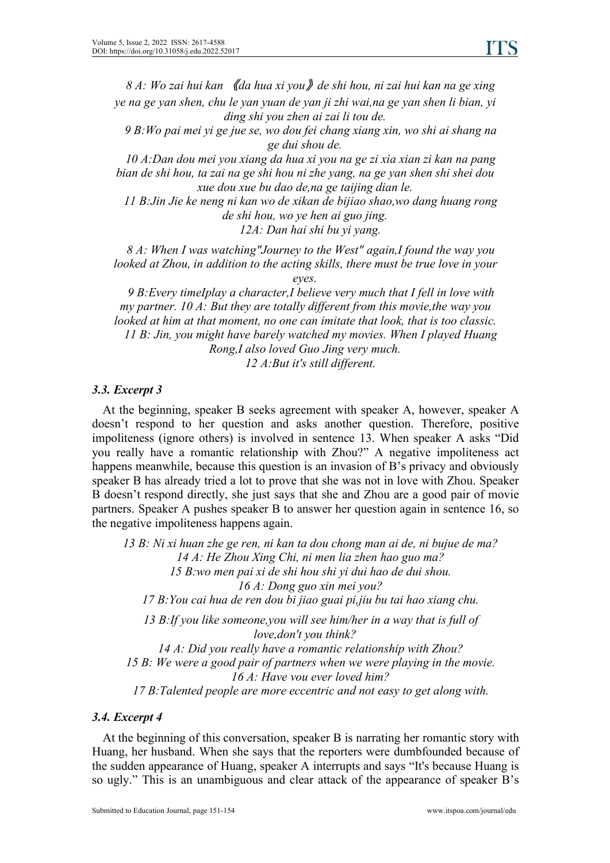*8 A: Wo zaihui kan* 《*da hua xi you*》*de shi hou, ni zai hui kan na ge xing ye na ge yan shen, chu le yan yuan de yan ji zhi wai,na ge yan shen li bian, yi*

*ding shi you zhen ai zai li tou de.*

*9 B:Wo pai mei yi ge jue se, wo dou fei chang xiang xin, wo shi ai shang na ge dui shou de.*

*10 A:Dan dou mei you xiang da hua xi you na ge zi xia xian zi kan na pang bian de shi hou, ta zai na ge shi hou ni zhe yang, na ge yan shen shi shei dou xue dou xue bu dao de,na ge taijing dian le.*

*11 B:Jin Jie ke neng ni kan wo de xikan de bijiao shao,wo dang huang rong de shi hou, wo ye hen ai guo jing.*

*12A: Dan hai shi bu yi yang.*

*8 A: When I was watching"Journey to the West" again,I found the way you looked at Zhou, in addition to the acting skills, there must be true love in your eyes.*

*9 B:Every timeIplay a character,I believe very much that I fell in love with my partner. 10 A: But they are totally dif erent from this movie,the way you looked at him at that moment, no one can imitate that look, that is too classic. 11 B: Jin, you might have barely watched my movies. When I played Huang Rong,I also loved Guo Jing very much. 12 A:But it's still dif erent.*

#### *3.3. Excerpt 3*

At the beginning, speaker B seeks agreement with speaker A, however, speaker A doesn't respond to her question and asks another question. Therefore, positive impoliteness (ignore others) is involved in sentence 13. When speaker A asks "Did you really have a romantic relationship with Zhou?" A negative impoliteness act happens meanwhile, because this question is an invasion of B's privacy and obviously speaker B has already tried a lot to prove that she was not in love with Zhou. Speaker B doesn't respond directly, she just says that she and Zhou are a good pair of movie partners. Speaker A pushes speaker B to answer her question again in sentence 16, so the negative impoliteness happens again.

 *B: Ni xi huan zhe ge ren, ni kan ta dou chong man ai de, ni bujue de ma? A: He Zhou Xing Chi, ni men lia zhen hao guo ma? B:wo men pai xi de shi hou shi yi dui hao de dui shou. A: Dong guo xin mei you? B:You cai hua de ren dou bi jiao guai pi,jiu bu tai hao xiang chu.*

*13 B:If you like someone,you will see him/her in a way that is full of love,don't you think?*

*14 A: Did you really have a romantic relationship with Zhou?*

*15 B: We were a good pair of partners when we were playing in the movie. 16 A: Have vou ever loved him?*

*17 B:Talented people are more eccentric and not easy to get along with.*

### *3.4. Excerpt 4*

At the beginning of this conversation, speaker B is narrating herromantic story with Huang, her husband. When she says that the reporters were dumbfounded because of the sudden appearance of Huang, speaker A interrupts and says "It's because Huang is so ugly." This is an unambiguous and clear attack of the appearance of speaker B's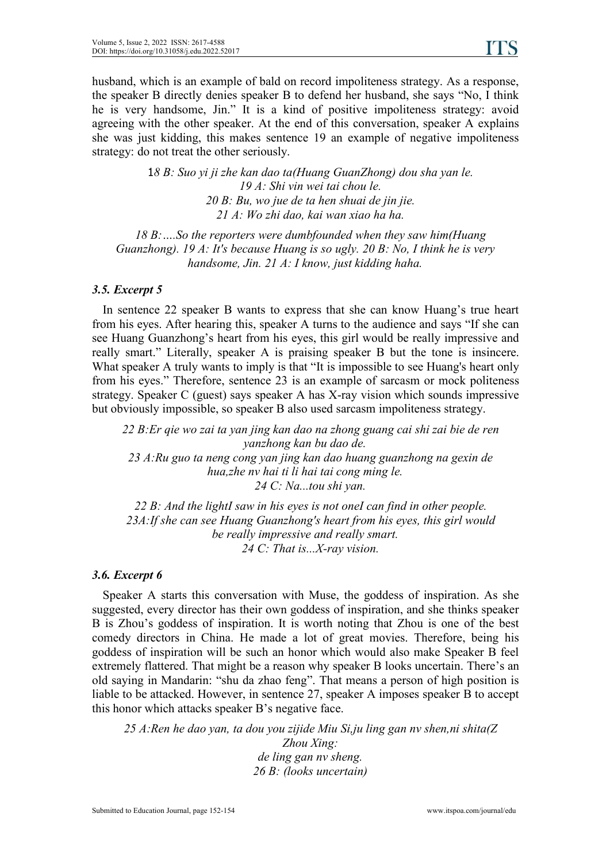husband, which is an example of bald on record impoliteness strategy. As a response, the speaker B directly denies speaker B to defend her husband, she says "No, I think he is very handsome, Jin." It is a kind of positive impoliteness strategy: avoid agreeing with the other speaker. At the end of this conversation, speaker A explains she was just kidding, this makes sentence 19 an example of negative impoliteness strategy: do not treat the other seriously.

> *8 B: Suo yi ji zhe kan dao ta(Huang GuanZhong) dou sha yan le. A: Shi vin wei tai chou le. B: Bu, wo jue de ta hen shuai de jin jie.* 21 A: Wo zhi dao, kai wan xiao ha ha.<br>18 B: ....So the reporters were dumbfounded when they saw him(Huang

*Guanzhong). 19 A: It's because Huang is so ugly. 20 B: No, I think he is very handsome, Jin. 21 A: I know, just kidding haha.*

#### *3.5. Excerpt 5*

In sentence 22 speaker B wants to express that she can know Huang's true heart from his eyes. After hearing this, speaker A turns to the audience and says "If she can see Huang Guanzhong's heart from his eyes, this girl would be really impressive and really smart." Literally, speaker A is praising speaker B but the tone is insincere. What speaker A truly wants to imply is that "It is impossible to see Huang's heart only from his eyes." Therefore, sentence 23 is an example of sarcasm or mock politeness strategy. Speaker C (guest) says speaker A has X-ray vision which sounds impressive but obviously impossible, so speaker B also used sarcasm impoliteness strategy.

*22 B:Er qie wo zai ta yan jing kan dao na zhong guang caishi zaibie de ren yanzhong kan bu dao de. 23 A:Ru guo ta neng cong yan jing kan dao huang guanzhong na gexin de hua,zhe nv hai ti li hai tai cong ming le. 24 C: Na...tou shi yan.*

*22 B: And the lightI saw in his eyes is not oneI can find in other people. 23A:If she can see Huang Guanzhong's heart from his eyes, this girl would be really impressive and really smart. 24 C: That is...X-ray vision.*

#### *3.6. Excerpt 6*

Speaker A starts this conversation with Muse, the goddess of inspiration. As she suggested, every director has their own goddess of inspiration, and she thinks speaker B is Zhou's goddess of inspiration. It is worth noting that Zhou is one of the best comedy directors in China. He made a lot of great movies. Therefore, being his goddess of inspiration will be such an honor which would also make Speaker B feel extremely flattered. That might be a reason why speaker B looks uncertain. There's an old saying in Mandarin: "shu da zhao feng". That means a person of high position is liable to be attacked. However, in sentence 27, speaker A imposes speaker B to accept this honor which attacks speaker B's negative face.

*25 A:Ren he dao yan, ta dou you zijide Miu Si,ju ling gan nv shen,nishita(Z Zhou Xing: de ling gan nv sheng. 26 B: (looks uncertain)*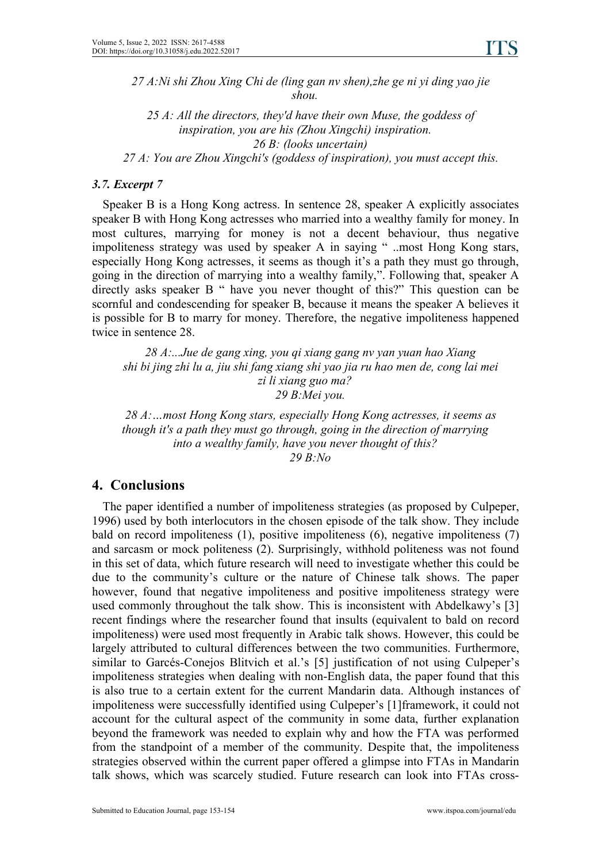*27 A:Ni shi Zhou Xing Chi de (ling gan nv shen),zhe ge ni yi ding yao jie shou.*

 *A: All the directors, they'd have their own Muse, the goddess of inspiration, you are his (Zhou Xingchi) inspiration. B: (looks uncertain) A: You are Zhou Xingchi's (goddess of inspiration), you must accept this.*

#### *3.7. Excerpt 7*

Speaker B is a Hong Kong actress. In sentence 28, speaker A explicitly associates speaker B with Hong Kong actresses who married into a wealthy family for money. In most cultures, marrying for money is not a decent behaviour, thus negative impoliteness strategy was used by speaker A in saying " ..most Hong Kong stars, especially Hong Kong actresses, it seems as though it's a path they must go through, going in the direction of marrying into a wealthy family,". Following that, speaker A directly asks speaker B " have you never thought of this?" This question can be scornful and condescending for speaker B, because it means the speaker A believes it is possible for B to marry for money. Therefore, the negative impoliteness happened twice in sentence 28.

*28 A:...Jue de gang xing, you qi xiang gang nv yan yuan hao Xiang shi bi jing zhi lu a, jiu shi fang xiang shi yao jia ru hao men de, cong lai mei zi li xiang guo ma? 29 B:Mei you.*

*28 A:…most Hong Kong stars, especially Hong Kong actresses, it seems as though it's a path they must go through, going in the direction of marrying into a wealthy family, have you never thought of this? 29 B:No*

# **4. Conclusions**

The paper identified a number of impoliteness strategies (as proposed by Culpeper, 1996) used by both interlocutors in the chosen episode of the talk show. They include bald on record impoliteness (1), positive impoliteness (6), negative impoliteness (7) and sarcasm or mock politeness (2). Surprisingly, withhold politeness was not found in this set of data, which future research will need to investigate whether this could be due to the community's culture or the nature of Chinese talk shows. The paper however, found that negative impoliteness and positive impoliteness strategy were used commonly throughout the talk show. This is inconsistent with Abdelkawy's [3] recent findings where the researcher found that insults (equivalent to bald on record impoliteness) were used most frequently in Arabic talk shows. However, this could be largely attributed to cultural differences between the two communities. Furthermore, similar to Garcés-Conejos Blitvich et al.'s [5] justification of not using Culpeper's impoliteness strategies when dealing with non-English data, the paper found that this is also true to a certain extent for the current Mandarin data. Although instances of impoliteness were successfully identified using Culpeper's [1]framework, it could not account for the cultural aspect of the community in some data, further explanation beyond the framework was needed to explain why and how the FTA was performed from the standpoint of a member of the community. Despite that, the impoliteness strategies observed within the current paper offered a glimpse into FTAs in Mandarin talk shows, which was scarcely studied. Future research can look into FTAs cross-